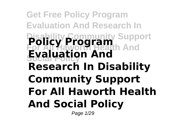### **Get Free Policy Program Evaluation And Research In Disability Community Support For All Haworth Health And Social Policy Policy Program Evaluation And Research In Disability Community Support For All Haworth Health And Social Policy**

Page 1/29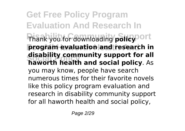**Get Free Policy Program Evaluation And Research In Phank you for downloading policy** Ort **program evaluation and research in Social Policy haworth health and social policy**. As **disability community support for all** you may know, people have search numerous times for their favorite novels like this policy program evaluation and research in disability community support for all haworth health and social policy,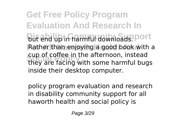**Get Free Policy Program Evaluation And Research In but end up in harmful downloads. Port Rather than enjoying a good book with a** cup or corree in the arternoon, instead<br>they are facing with some harmful bugs cup of coffee in the afternoon, instead inside their desktop computer.

policy program evaluation and research in disability community support for all haworth health and social policy is

Page 3/29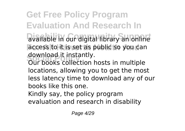**Get Free Policy Program Evaluation And Research In** available in our digital library an online access to it is set as public so you can aownioad it instantly.<br>Our books collection hosts in multiple download it instantly.

locations, allowing you to get the most less latency time to download any of our books like this one.

Kindly say, the policy program

evaluation and research in disability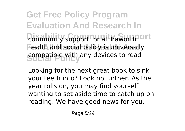**Get Free Policy Program Evaluation And Research In Community support for all haworth ort** health and social policy is universally **Sompatible with any devices to read** 

Looking for the next great book to sink your teeth into? Look no further. As the year rolls on, you may find yourself wanting to set aside time to catch up on reading. We have good news for you,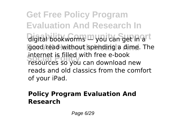**Get Free Policy Program Evaluation And Research In** digital bookworms — you can get in a<sup>rt</sup> good read without spending a dime. The **INTERTER IS THEO WITH THEE E-DOOK**<br>Tesources so you can download new internet is filled with free e-book reads and old classics from the comfort of your iPad.

### **Policy Program Evaluation And Research**

Page 6/29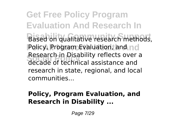**Get Free Policy Program Evaluation And Research In Based on qualitative research methods, Policy, Program Evaluation, and ncl Social Policy** decade of technical assistance and Research in Disability reflects over a research in state, regional, and local communities...

### **Policy, Program Evaluation, and Research in Disability ...**

Page 7/29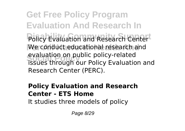**Get Free Policy Program Evaluation And Research In** Policy Evaluation and Research Center<sup>1</sup> We conduct educational research and evaluation on public policy-related<br>issues through our Policy Evaluation and evaluation on public policy-related Research Center (PERC).

#### **Policy Evaluation and Research Center - ETS Home**

It studies three models of policy

Page 8/29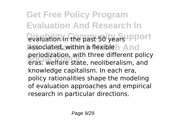**Get Free Policy Program Evaluation And Research In** evaluation in the past 50 years upport associated, within a flexibleh And **Social Policy** eras: welfare state, neoliberalism, and periodization, with three different policy knowledge capitalism. In each era, policy rationalities shape the modeling of evaluation approaches and empirical research in particular directions.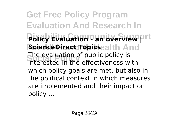**Get Free Policy Program Evaluation And Research In**  $\overline{\mathsf{P}}$ **biicy Evaluation - an overview prt ScienceDirect Topics** ealth And **Social Policy** interested in the effectiveness with The evaluation of public policy is which policy goals are met, but also in the political context in which measures are implemented and their impact on policy ...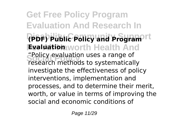**Get Free Policy Program Evaluation And Research In RPDF) Public Policy and Program** It **Evaluation** worth Health And Policy evaluation uses a range or<br>**research methods to systematically** "Policy evaluation uses a range of investigate the effectiveness of policy interventions, implementation and processes, and to determine their merit, worth, or value in terms of improving the social and economic conditions of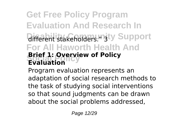## **Get Free Policy Program Evaluation And Research In** different stakeholders." 3ty Support **For All Haworth Health And Brief 1: Overview of Policy**<br>Evaluation **Evaluation**

Program evaluation represents an adaptation of social research methods to the task of studying social interventions so that sound judgments can be drawn about the social problems addressed,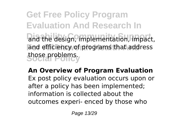**Get Free Policy Program Evaluation And Research In** and the design, implementation, impact, and efficiency of programs that address those problems.

**An Overview of Program Evaluation** Ex post policy evaluation occurs upon or after a policy has been implemented; information is collected about the outcomes experi- enced by those who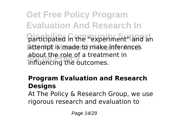**Get Free Policy Program Evaluation And Research In** participated in the "experiment" and an attempt is made to make inferences about the role of a treatm<br>influencing the outcomes. about the role of a treatment in

### **Program Evaluation and Research Designs**

At The Policy & Research Group, we use rigorous research and evaluation to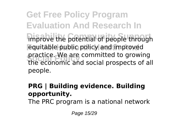**Get Free Policy Program Evaluation And Research In** improve the potential of people through **Fouldable public policy and improved** practice. We are committed to growing<br>the economic and social prospects of all practice. We are committed to growing people.

#### **PRG | Building evidence. Building opportunity.**

The PRC program is a national network

Page 15/29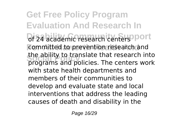**Get Free Policy Program Evaluation And Research In** of 24 academic research centers<sup>oport</sup> **For All Haworth Health And** committed to prevention research and the ability to translate that research into<br>programs and policies. The centers work the ability to translate that research into with state health departments and members of their communities to develop and evaluate state and local interventions that address the leading causes of death and disability in the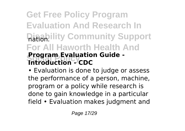## **Get Free Policy Program Evaluation And Research In Ration** lity Community Support **For All Haworth Health And Social Policy Introduction - CDC Program Evaluation Guide -**

• Evaluation is done to judge or assess the performance of a person, machine, program or a policy while research is done to gain knowledge in a particular field • Evaluation makes judgment and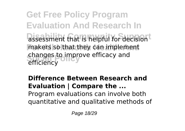**Get Free Policy Program Evaluation And Research In** assessment that is helpful for decision<sup>t</sup> makers so that they can implement changes to improve efficacy and<br>efficiency efficiency

### **Difference Between Research and Evaluation | Compare the ...**

Program evaluations can involve both quantitative and qualitative methods of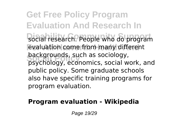**Get Free Policy Program Evaluation And Research In** social research. People who do program **Evaluation come from many different Social Policy** psychology, economics, social work, and backgrounds, such as sociology, public policy. Some graduate schools also have specific training programs for program evaluation.

### **Program evaluation - Wikipedia**

Page 19/29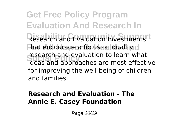**Get Free Policy Program Evaluation And Research In** Research and Evaluation Investments<sup>t</sup> that encourage a focus on quality o research and evaluation to learn what<br>ideas and approaches are most effective research and evaluation to learn what for improving the well-being of children and families.

### **Research and Evaluation - The Annie E. Casey Foundation**

Page 20/29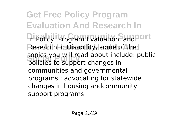**Get Free Policy Program Evaluation And Research In** In Policy, Program Evaluation, and <sup>ort</sup> **Research in Disability, some of the Social Policy** policies to support changes in topics you will read about include: public communities and governmental programs ; advocating for statewide changes in housing andcommunity support programs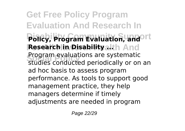**Get Free Policy Program Evaluation And Research In Policy, Program Evaluation, and ort Research in Disability alth And** Program evaluations are systematic<br>studies conducted periodically or on an Program evaluations are systematic ad hoc basis to assess program performance. As tools to support good management practice, they help managers determine if timely adjustments are needed in program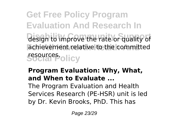**Get Free Policy Program Evaluation And Research In** design to improve the rate or quality of achievement relative to the committed **Social Policy** resources.

### **Program Evaluation: Why, What, and When to Evaluate ...**

The Program Evaluation and Health Services Research (PE-HSR) unit is led by Dr. Kevin Brooks, PhD. This has

Page 23/29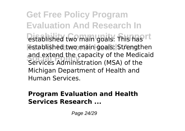**Get Free Policy Program Evaluation And Research In** established two main goals: This has I<sup>t</sup> **Established two main goals: Strengthen Social Policy** Services Administration (MSA) of the and extend the capacity of the Medicaid Michigan Department of Health and Human Services.

#### **Program Evaluation and Health Services Research ...**

Page 24/29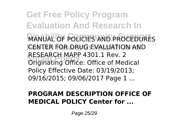**Get Free Policy Program Evaluation And Research In** MANUAL OF POLICIES AND PROCEDURES **FOR DRUG EVALUATION AND RESEARCH MAPP 4301.1 Rev. 2**<br>Originating Office: Office of Medical RESEARCH MAPP 4301.1 Rev. 2 Policy Effective Date: 03/19/2013; 09/16/2015; 09/06/2017 Page 1 ...

### **PROGRAM DESCRIPTION OFFICE OF MEDICAL POLICY Center for ...**

Page 25/29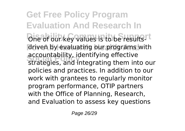**Get Free Policy Program Evaluation And Research In** One of our key values is to be results<sup>rt</sup> driven by evaluating our programs with **Social Policy** strategies, and integrating them into our accountability, identifying effective policies and practices. In addition to our work with grantees to regularly monitor program performance, OTIP partners with the Office of Planning, Research, and Evaluation to assess key questions

Page 26/29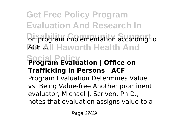**Get Free Policy Program Evaluation And Research In** on program implementation according to **FGF All Haworth Health And Social Policy Program Evaluation | Office on Trafficking in Persons | ACF** Program Evaluation Determines Value vs. Being Value-free Another prominent evaluator, Michael J. Scriven, Ph.D., notes that evaluation assigns value to a

Page 27/29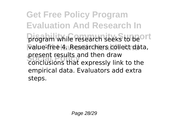**Get Free Policy Program Evaluation And Research In** program while research seeks to be<sup>ort</sup> Value-free 4. Researchers collect data, present results and then draw<br>conclusions that expressly link to the present results and then draw empirical data. Evaluators add extra steps.